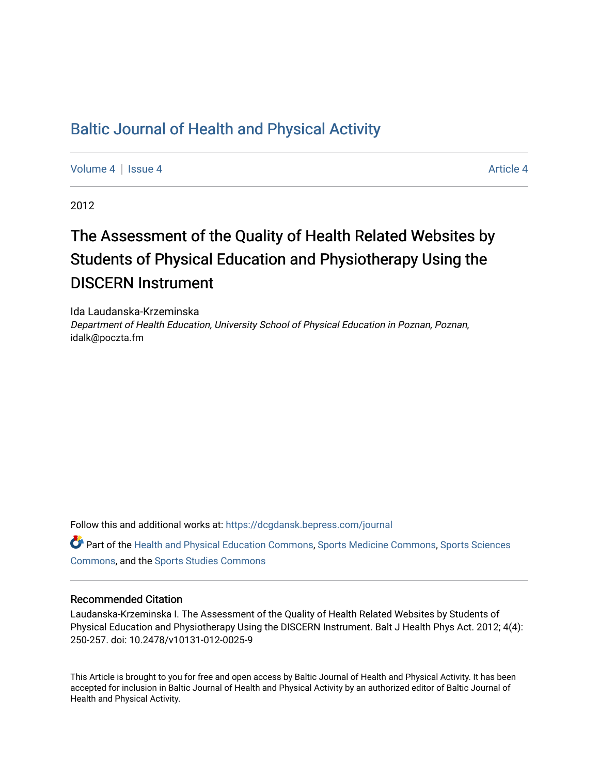# [Baltic Journal of Health and Physical Activity](https://dcgdansk.bepress.com/journal)

[Volume 4](https://dcgdansk.bepress.com/journal/vol4) | [Issue 4](https://dcgdansk.bepress.com/journal/vol4/iss4) Article 4

2012

# The Assessment of the Quality of Health Related Websites by Students of Physical Education and Physiotherapy Using the DISCERN Instrument

Ida Laudanska-Krzeminska Department of Health Education, University School of Physical Education in Poznan, Poznan, idalk@poczta.fm

Follow this and additional works at: [https://dcgdansk.bepress.com/journal](https://dcgdansk.bepress.com/journal?utm_source=dcgdansk.bepress.com%2Fjournal%2Fvol4%2Fiss4%2F4&utm_medium=PDF&utm_campaign=PDFCoverPages)

Part of the [Health and Physical Education Commons](http://network.bepress.com/hgg/discipline/1327?utm_source=dcgdansk.bepress.com%2Fjournal%2Fvol4%2Fiss4%2F4&utm_medium=PDF&utm_campaign=PDFCoverPages), [Sports Medicine Commons,](http://network.bepress.com/hgg/discipline/1331?utm_source=dcgdansk.bepress.com%2Fjournal%2Fvol4%2Fiss4%2F4&utm_medium=PDF&utm_campaign=PDFCoverPages) [Sports Sciences](http://network.bepress.com/hgg/discipline/759?utm_source=dcgdansk.bepress.com%2Fjournal%2Fvol4%2Fiss4%2F4&utm_medium=PDF&utm_campaign=PDFCoverPages) [Commons](http://network.bepress.com/hgg/discipline/759?utm_source=dcgdansk.bepress.com%2Fjournal%2Fvol4%2Fiss4%2F4&utm_medium=PDF&utm_campaign=PDFCoverPages), and the [Sports Studies Commons](http://network.bepress.com/hgg/discipline/1198?utm_source=dcgdansk.bepress.com%2Fjournal%2Fvol4%2Fiss4%2F4&utm_medium=PDF&utm_campaign=PDFCoverPages) 

## Recommended Citation

Laudanska-Krzeminska I. The Assessment of the Quality of Health Related Websites by Students of Physical Education and Physiotherapy Using the DISCERN Instrument. Balt J Health Phys Act. 2012; 4(4): 250-257. doi: 10.2478/v10131-012-0025-9

This Article is brought to you for free and open access by Baltic Journal of Health and Physical Activity. It has been accepted for inclusion in Baltic Journal of Health and Physical Activity by an authorized editor of Baltic Journal of Health and Physical Activity.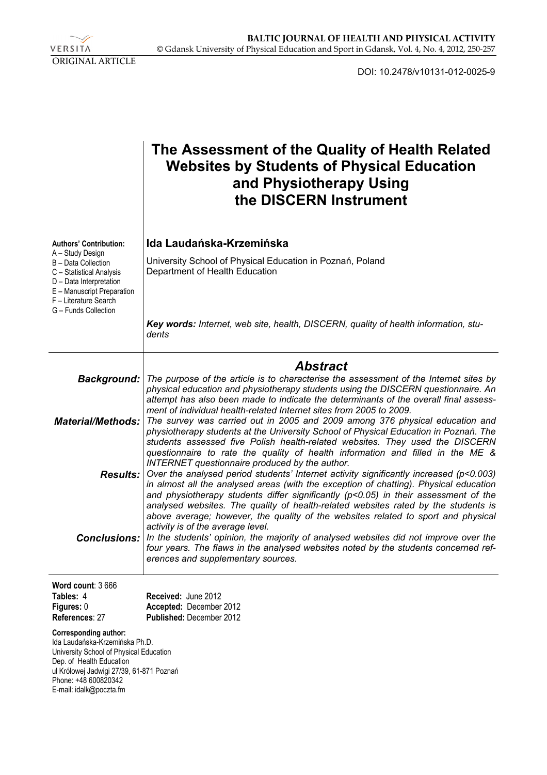VERSITA ORIGINAL ARTICLE

DOI: 10.2478/v10131-012-0025-9

|                                                                                                                                                                                                                                      | The Assessment of the Quality of Health Related<br><b>Websites by Students of Physical Education</b><br>and Physiotherapy Using<br>the DISCERN Instrument                                                                                                                                                                                                                                                                                                                                                                 |
|--------------------------------------------------------------------------------------------------------------------------------------------------------------------------------------------------------------------------------------|---------------------------------------------------------------------------------------------------------------------------------------------------------------------------------------------------------------------------------------------------------------------------------------------------------------------------------------------------------------------------------------------------------------------------------------------------------------------------------------------------------------------------|
| <b>Authors' Contribution:</b><br>A - Study Design<br>B - Data Collection<br>C - Statistical Analysis<br>D - Data Interpretation<br>E - Manuscript Preparation<br>F - Literature Search<br>G - Funds Collection                       | Ida Laudańska-Krzemińska<br>University School of Physical Education in Poznań, Poland<br>Department of Health Education                                                                                                                                                                                                                                                                                                                                                                                                   |
|                                                                                                                                                                                                                                      | Key words: Internet, web site, health, DISCERN, quality of health information, stu-<br>dents                                                                                                                                                                                                                                                                                                                                                                                                                              |
|                                                                                                                                                                                                                                      | <b>Abstract</b>                                                                                                                                                                                                                                                                                                                                                                                                                                                                                                           |
| <b>Background:</b>                                                                                                                                                                                                                   | The purpose of the article is to characterise the assessment of the Internet sites by<br>physical education and physiotherapy students using the DISCERN questionnaire. An<br>attempt has also been made to indicate the determinants of the overall final assess-                                                                                                                                                                                                                                                        |
| <b>Material/Methods:</b>                                                                                                                                                                                                             | ment of individual health-related Internet sites from 2005 to 2009.<br>The survey was carried out in 2005 and 2009 among 376 physical education and<br>physiotherapy students at the University School of Physical Education in Poznań. The<br>students assessed five Polish health-related websites. They used the DISCERN<br>questionnaire to rate the quality of health information and filled in the ME &                                                                                                             |
|                                                                                                                                                                                                                                      | INTERNET questionnaire produced by the author.<br><b>Results:</b> Over the analysed period students' Internet activity significantly increased ( $p$ <0.003)<br>in almost all the analysed areas (with the exception of chatting). Physical education<br>and physiotherapy students differ significantly $(p<0.05)$ in their assessment of the<br>analysed websites. The quality of health-related websites rated by the students is<br>above average; however, the quality of the websites related to sport and physical |
| <b>Conclusions:</b>                                                                                                                                                                                                                  | activity is of the average level.<br>In the students' opinion, the majority of analysed websites did not improve over the<br>four years. The flaws in the analysed websites noted by the students concerned ref-<br>erences and supplementary sources.                                                                                                                                                                                                                                                                    |
| Word count: 3666<br>Tables: 4<br>Figures: 0<br>References: 27                                                                                                                                                                        | Received: June 2012<br>Accepted: December 2012<br>Published: December 2012                                                                                                                                                                                                                                                                                                                                                                                                                                                |
| <b>Corresponding author:</b><br>Ida Laudańska-Krzemińska Ph.D.<br>University School of Physical Education<br>Dep. of Health Education<br>ul Królowej Jadwigi 27/39, 61-871 Poznań<br>Phone: +48 600820342<br>E-mail: idalk@poczta.fm |                                                                                                                                                                                                                                                                                                                                                                                                                                                                                                                           |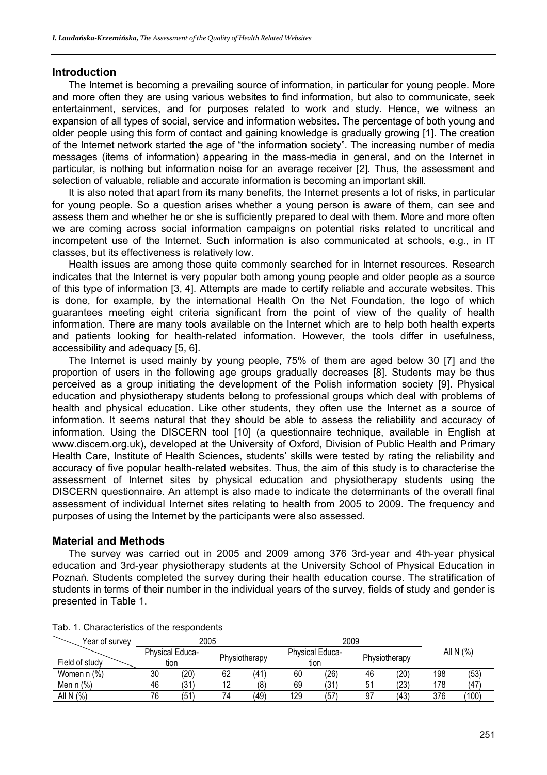# **Introduction**

The Internet is becoming a prevailing source of information, in particular for young people. More and more often they are using various websites to find information, but also to communicate, seek entertainment, services, and for purposes related to work and study. Hence, we witness an expansion of all types of social, service and information websites. The percentage of both young and older people using this form of contact and gaining knowledge is gradually growing [1]. The creation of the Internet network started the age of "the information society". The increasing number of media messages (items of information) appearing in the mass-media in general, and on the Internet in particular, is nothing but information noise for an average receiver [2]. Thus, the assessment and selection of valuable, reliable and accurate information is becoming an important skill.

It is also noted that apart from its many benefits, the Internet presents a lot of risks, in particular for young people. So a question arises whether a young person is aware of them, can see and assess them and whether he or she is sufficiently prepared to deal with them. More and more often we are coming across social information campaigns on potential risks related to uncritical and incompetent use of the Internet. Such information is also communicated at schools, e.g., in IT classes, but its effectiveness is relatively low.

Health issues are among those quite commonly searched for in Internet resources. Research indicates that the Internet is very popular both among young people and older people as a source of this type of information [3, 4]. Attempts are made to certify reliable and accurate websites. This is done, for example, by the international Health On the Net Foundation, the logo of which guarantees meeting eight criteria significant from the point of view of the quality of health information. There are many tools available on the Internet which are to help both health experts and patients looking for health-related information. However, the tools differ in usefulness, accessibility and adequacy [5, 6].

The Internet is used mainly by young people, 75% of them are aged below 30 [7] and the proportion of users in the following age groups gradually decreases [8]. Students may be thus perceived as a group initiating the development of the Polish information society [9]. Physical education and physiotherapy students belong to professional groups which deal with problems of health and physical education. Like other students, they often use the Internet as a source of information. It seems natural that they should be able to assess the reliability and accuracy of information. Using the DISCERN tool [10] (a questionnaire technique, available in English at www.discern.org.uk), developed at the University of Oxford, Division of Public Health and Primary Health Care, Institute of Health Sciences, students' skills were tested by rating the reliability and accuracy of five popular health-related websites. Thus, the aim of this study is to characterise the assessment of Internet sites by physical education and physiotherapy students using the DISCERN questionnaire. An attempt is also made to indicate the determinants of the overall final assessment of individual Internet sites relating to health from 2005 to 2009. The frequency and purposes of using the Internet by the participants were also assessed.

# **Material and Methods**

The survey was carried out in 2005 and 2009 among 376 3rd-year and 4th-year physical education and 3rd-year physiotherapy students at the University School of Physical Education in Poznań. Students completed the survey during their health education course. The stratification of students in terms of their number in the individual years of the survey, fields of study and gender is presented in Table 1.

| Year of survey |                                | 2005 |    |               |     | 2009                           | All N (%) |      |     |       |
|----------------|--------------------------------|------|----|---------------|-----|--------------------------------|-----------|------|-----|-------|
| Field of study | <b>Physical Educa-</b><br>tion |      |    | Physiotherapy |     | <b>Physical Educa-</b><br>tion |           |      |     |       |
| Women n (%)    | 30                             | (20) | 62 | 41            | 60  | (26)                           | 46        | (20) | 198 | (53)  |
| Men $n$ $%$    | 46                             | (31  | 12 | (8            | 69  | (31                            | 51        | (23) | 178 | (47   |
| AII N (%)      | 76                             | (51  | 74 | (49)          | 129 | (57                            | 97        | (43) | 376 | (100) |

#### Tab. 1. Characteristics of the respondents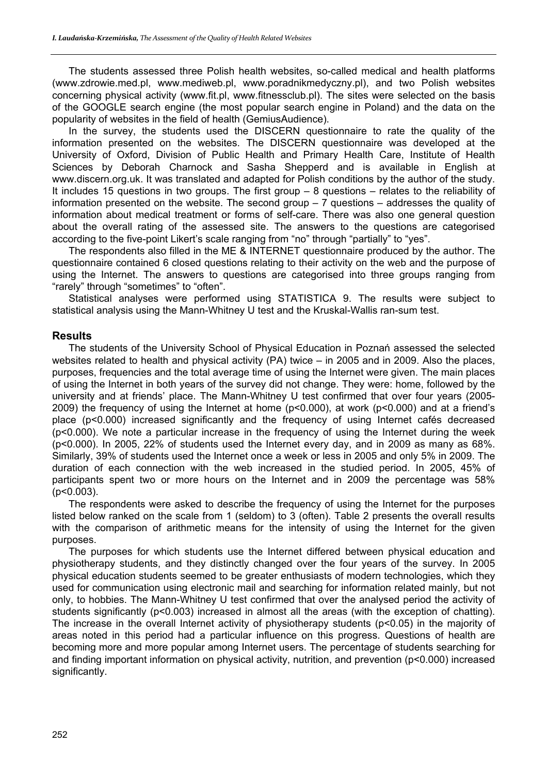The students assessed three Polish health websites, so-called medical and health platforms (www.zdrowie.med.pl, www.mediweb.pl, www.poradnikmedyczny.pl), and two Polish websites concerning physical activity (www.fit.pl, www.fitnessclub.pl). The sites were selected on the basis of the GOOGLE search engine (the most popular search engine in Poland) and the data on the popularity of websites in the field of health (GemiusAudience).

In the survey, the students used the DISCERN questionnaire to rate the quality of the information presented on the websites. The DISCERN questionnaire was developed at the University of Oxford, Division of Public Health and Primary Health Care, Institute of Health Sciences by Deborah Charnock and Sasha Shepperd and is available in English at www.discern.org.uk. It was translated and adapted for Polish conditions by the author of the study. It includes 15 questions in two groups. The first group – 8 questions – relates to the reliability of information presented on the website. The second group – 7 questions – addresses the quality of information about medical treatment or forms of self-care. There was also one general question about the overall rating of the assessed site. The answers to the questions are categorised according to the five-point Likert's scale ranging from "no" through "partially" to "yes".

The respondents also filled in the ME & INTERNET questionnaire produced by the author. The questionnaire contained 6 closed questions relating to their activity on the web and the purpose of using the Internet. The answers to questions are categorised into three groups ranging from "rarely" through "sometimes" to "often".

Statistical analyses were performed using STATISTICA 9. The results were subject to statistical analysis using the Mann-Whitney U test and the Kruskal-Wallis ran-sum test.

# **Results**

The students of the University School of Physical Education in Poznań assessed the selected websites related to health and physical activity (PA) twice – in 2005 and in 2009. Also the places, purposes, frequencies and the total average time of using the Internet were given. The main places of using the Internet in both years of the survey did not change. They were: home, followed by the university and at friends' place. The Mann-Whitney U test confirmed that over four years (2005- 2009) the frequency of using the Internet at home (p<0.000), at work (p<0.000) and at a friend's place (p<0.000) increased significantly and the frequency of using Internet cafés decreased (p<0.000). We note a particular increase in the frequency of using the Internet during the week (p<0.000). In 2005, 22% of students used the Internet every day, and in 2009 as many as 68%. Similarly, 39% of students used the Internet once a week or less in 2005 and only 5% in 2009. The duration of each connection with the web increased in the studied period. In 2005, 45% of participants spent two or more hours on the Internet and in 2009 the percentage was 58% (p<0.003).

The respondents were asked to describe the frequency of using the Internet for the purposes listed below ranked on the scale from 1 (seldom) to 3 (often). Table 2 presents the overall results with the comparison of arithmetic means for the intensity of using the Internet for the given purposes.

The purposes for which students use the Internet differed between physical education and physiotherapy students, and they distinctly changed over the four years of the survey. In 2005 physical education students seemed to be greater enthusiasts of modern technologies, which they used for communication using electronic mail and searching for information related mainly, but not only, to hobbies. The Mann-Whitney U test confirmed that over the analysed period the activity of students significantly (p<0.003) increased in almost all the areas (with the exception of chatting). The increase in the overall Internet activity of physiotherapy students (p<0.05) in the majority of areas noted in this period had a particular influence on this progress. Questions of health are becoming more and more popular among Internet users. The percentage of students searching for and finding important information on physical activity, nutrition, and prevention (p<0.000) increased significantly.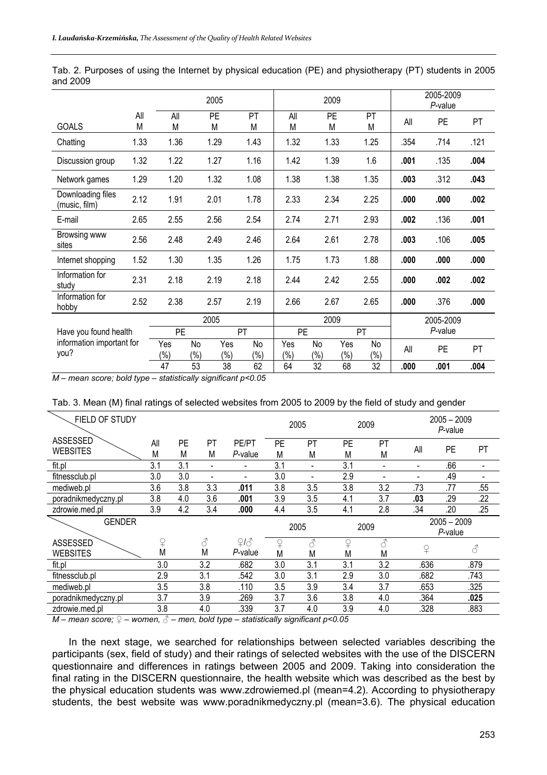|                                    |          | 2005           |               |               | 2009          |                |               |                | 2005-2009<br>P-value |           |           |           |
|------------------------------------|----------|----------------|---------------|---------------|---------------|----------------|---------------|----------------|----------------------|-----------|-----------|-----------|
| <b>GOALS</b>                       | All<br>M | All<br>M       |               | PE<br>M       | PT<br>M       | All<br>M       | M             | <b>PE</b>      | PT<br>M              | All       | <b>PE</b> | <b>PT</b> |
| Chatting                           | 1.33     | 1.36           |               | 1.29          | 1.43          | 1.32           |               | 1.33           | 1.25                 | .354      | .714      | .121      |
| Discussion group                   | 1.32     | 1.22           |               | 1.27          | 1.16          | 1.42           |               | 1.39           | 1.6                  | .001      | .135      | .004      |
| Network games                      | 1.29     | 1.20           |               | 1.32          | 1.08          | 1.38           |               | 1.38           | 1.35                 | .003      | .312      | .043      |
| Downloading files<br>(music, film) | 2.12     | 1.91           |               | 2.01          | 1.78          | 2.33           | 2.34          |                | 2.25                 | .000      | .000      | .002      |
| E-mail                             | 2.65     | 2.55           |               | 2.56          | 2.54          | 2.74           | 2.71          |                | 2.93                 | .002      | .136      | .001      |
| Browsing www<br>sites              | 2.56     | 2.48           |               | 2.49          | 2.46          | 2.64           | 2.61          |                | 2.78                 | .003      | .106      | .005      |
| Internet shopping                  | 1.52     | 1.30           |               | 1.35          | 1.26          | 1.75           |               | 1.73           | 1.88                 | .000      | .000      | .000      |
| Information for<br>studv           | 2.31     | 2.18           |               | 2.19          | 2.18          | 2.44           | 2.42          |                | 2.55                 | .000      | .002      | .002      |
| Information for<br>hobby           | 2.52     | 2.38           |               | 2.57          | 2.19          | 2.66           | 2.67          |                | 2.65                 | .000      | .376      | .000      |
| Have you found health              |          |                |               | 2005          |               | 2009           |               |                |                      | 2005-2009 |           |           |
|                                    |          | PE             |               | PT            |               | <b>PE</b>      |               | PT             |                      | P-value   |           |           |
| information important for<br>you?  |          | Yes<br>$(\% )$ | No<br>$(\% )$ | Yes<br>$(\%)$ | No<br>$(\% )$ | Yes<br>$(\% )$ | No<br>$(\% )$ | Yes<br>$(\% )$ | No<br>$(\% )$        | All       | <b>PE</b> | PT        |
|                                    |          | 47             | 53            | 38            | 62            | 64             | 32            | 68             | 32                   | .000      | .001      | .004      |

Tab. 2. Purposes of using the Internet by physical education (PE) and physiotherapy (PT) students in 2005 and 2009

*M – mean score; bold type – statistically significant p<0.05* 

| Tab. 3. Mean (M) final ratings of selected websites from 2005 to 2009 by the field of study and gender |  |  |  |  |  |  |  |
|--------------------------------------------------------------------------------------------------------|--|--|--|--|--|--|--|
|                                                                                                        |  |  |  |  |  |  |  |

| FIELD OF STUDY                     |          |         |                    |                  |                | 2005               |                | 2009               |                          | $2005 - 2009$<br>P-value    |      |
|------------------------------------|----------|---------|--------------------|------------------|----------------|--------------------|----------------|--------------------|--------------------------|-----------------------------|------|
| <b>ASSESSED</b><br><b>WEBSITES</b> | All<br>M | PE<br>M | PT<br>М            | PE/PT<br>P-value | <b>PE</b><br>M | PT<br>M            | <b>PE</b><br>М | PT<br>M            | All                      | PE                          | PT   |
| fit.pl                             | 3.1      | 3.1     | $\blacksquare$     |                  | 3.1            |                    | 3.1            |                    | $\overline{\phantom{0}}$ | .66                         |      |
| fitnessclub.pl                     | 3.0      | 3.0     | $\blacksquare$     |                  | 3.0            |                    | 2.9            |                    |                          | .49                         |      |
| mediweb.pl                         | 3.6      | 3.8     | 3.3                | .011             | 3.8            | 3.5                | 3.8            | 3.2                | .73                      | .77                         | .55  |
| poradnikmedyczny.pl                | 3.8      | 4.0     | 3.6                | .001             | 3.9            | 3.5                | 4.1            | 3.7                | .03                      | .29                         | .22  |
| zdrowie.med.pl                     | 3.9      | 4.2     | 3.4                | .000             | 4.4            | 3.5                | 4.1            | 2.8                | .34                      | .20                         | .25  |
| <b>GENDER</b>                      |          |         |                    |                  |                | 2005               | 2009           |                    |                          | $2005 - 2009$<br>$P$ -value |      |
| <b>ASSESSED</b><br><b>WEBSITES</b> | ♀<br>M   |         | $\mathcal{S}$<br>M | 213<br>P-value   | $\Omega$<br>M  | $\mathcal{E}$<br>M | ♀<br>Μ         | $\mathcal{E}$<br>M | $\Omega$                 |                             | 8    |
| fit.pl                             | 3.0      |         | 3.2                | .682             | 3.0            | 3.1                | 3.1            | 3.2                | .636                     |                             | .879 |
| fitnessclub.pl                     | 2.9      |         | 3.1                | .542             | 3.0            | 3.1                | 2.9            | 3.0                | .682                     |                             | .743 |
| mediweb.pl                         | 3.5      |         | 3.8                | .110             | 3.5            | 3.9                | 3.4            | 3.7                | .653                     |                             | .325 |
| poradnikmedyczny.pl                | 3.7      |         | 3.9                | .269             | 3.7            | 3.6                | 3.8            | 4.0                | .364                     |                             | .025 |
| zdrowie.med.pl                     | 3.8      |         | 4.0                | .339             | 3.7            | 4.0                | 3.9            | 4.0                | .328                     |                             | .883 |

*M – mean score; ♀ – women, ♂ – men, bold type – statistically significant p<0.05* 

In the next stage, we searched for relationships between selected variables describing the participants (sex, field of study) and their ratings of selected websites with the use of the DISCERN questionnaire and differences in ratings between 2005 and 2009. Taking into consideration the final rating in the DISCERN questionnaire, the health website which was described as the best by the physical education students was www.zdrowiemed.pl (mean=4.2). According to physiotherapy students, the best website was www.poradnikmedyczny.pl (mean=3.6). The physical education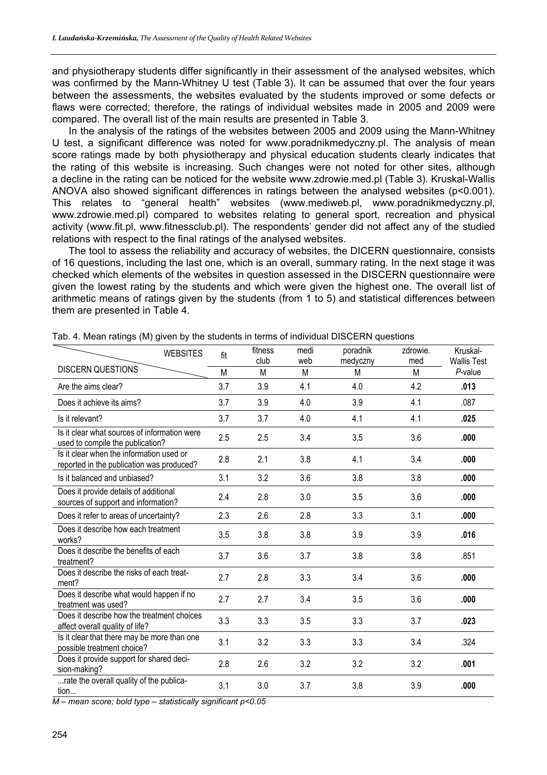and physiotherapy students differ significantly in their assessment of the analysed websites, which was confirmed by the Mann-Whitney U test (Table 3). It can be assumed that over the four years between the assessments, the websites evaluated by the students improved or some defects or flaws were corrected; therefore, the ratings of individual websites made in 2005 and 2009 were compared. The overall list of the main results are presented in Table 3.

In the analysis of the ratings of the websites between 2005 and 2009 using the Mann-Whitney U test, a significant difference was noted for www.poradnikmedyczny.pl. The analysis of mean score ratings made by both physiotherapy and physical education students clearly indicates that the rating of this website is increasing. Such changes were not noted for other sites, although a decline in the rating can be noticed for the website www.zdrowie.med.pl (Table 3). Kruskal-Wallis ANOVA also showed significant differences in ratings between the analysed websites (p<0.001). This relates to "general health" websites (www.mediweb.pl, www.poradnikmedyczny.pl, www.zdrowie.med.pl) compared to websites relating to general sport, recreation and physical activity (www.fit.pl, www.fitnessclub.pl). The respondents' gender did not affect any of the studied relations with respect to the final ratings of the analysed websites.

The tool to assess the reliability and accuracy of websites, the DICERN questionnaire, consists of 16 questions, including the last one, which is an overall, summary rating. In the next stage it was checked which elements of the websites in question assessed in the DISCERN questionnaire were given the lowest rating by the students and which were given the highest one. The overall list of arithmetic means of ratings given by the students (from 1 to 5) and statistical differences between them are presented in Table 4.

| <b>WEBSITES</b>                                                                       | fit | fitness<br>club | medi<br>web | poradnik<br>medyczny | zdrowie.<br>med | Kruskal-<br><b>Wallis Test</b> |
|---------------------------------------------------------------------------------------|-----|-----------------|-------------|----------------------|-----------------|--------------------------------|
| <b>DISCERN QUESTIONS</b>                                                              | M   | M               | M           | M                    | M               | P-value                        |
| Are the aims clear?                                                                   | 3.7 | 3.9             | 4.1         | 4.0                  | 4.2             | .013                           |
| Does it achieve its aims?                                                             | 3.7 | 3.9             | 4.0         | 3.9                  | 4.1             | .087                           |
| Is it relevant?                                                                       | 3.7 | 3.7             | 4.0         | 4.1                  | 4.1             | .025                           |
| Is it clear what sources of information were<br>used to compile the publication?      | 2.5 | 2.5             | 3.4         | 3.5                  | 3.6             | .000                           |
| Is it clear when the information used or<br>reported in the publication was produced? | 2.8 | 2.1             | 3.8         | 4.1                  | 3.4             | .000                           |
| Is it balanced and unbiased?                                                          | 3.1 | 3.2             | 3.6         | 3.8                  | 3.8             | .000                           |
| Does it provide details of additional<br>sources of support and information?          | 2.4 | 2.8             | 3.0         | 3.5                  | 3.6             | .000                           |
| Does it refer to areas of uncertainty?                                                | 2.3 | 2.6             | 2.8         | 3.3                  | 3.1             | .000                           |
| Does it describe how each treatment<br>works?                                         | 3.5 | 3.8             | 3.8         | 3.9                  | 3.9             | .016                           |
| Does it describe the benefits of each<br>treatment?                                   | 3.7 | 3.6             | 3.7         | 3.8                  | 3.8             | .851                           |
| Does it describe the risks of each treat-<br>ment?                                    | 2.7 | 2.8             | 3.3         | 3.4                  | 3.6             | .000                           |
| Does it describe what would happen if no<br>treatment was used?                       | 2.7 | 2.7             | 3.4         | 3.5                  | 3.6             | .000                           |
| Does it describe how the treatment choices<br>affect overall quality of life?         | 3.3 | 3.3             | 3.5         | 3.3                  | 3.7             | .023                           |
| Is it clear that there may be more than one<br>possible treatment choice?             | 3.1 | 3.2             | 3.3         | 3.3                  | 3.4             | .324                           |
| Does it provide support for shared deci-<br>sion-making?                              | 2.8 | 2.6             | 3.2         | 3.2                  | 3.2             | .001                           |
| rate the overall quality of the publica-<br>tion                                      | 3.1 | 3.0             | 3.7         | 3.8                  | 3.9             | .000                           |

Tab. 4. Mean ratings (M) given by the students in terms of individual DISCERN questions

*M – mean score; bold type – statistically significant p<0.05*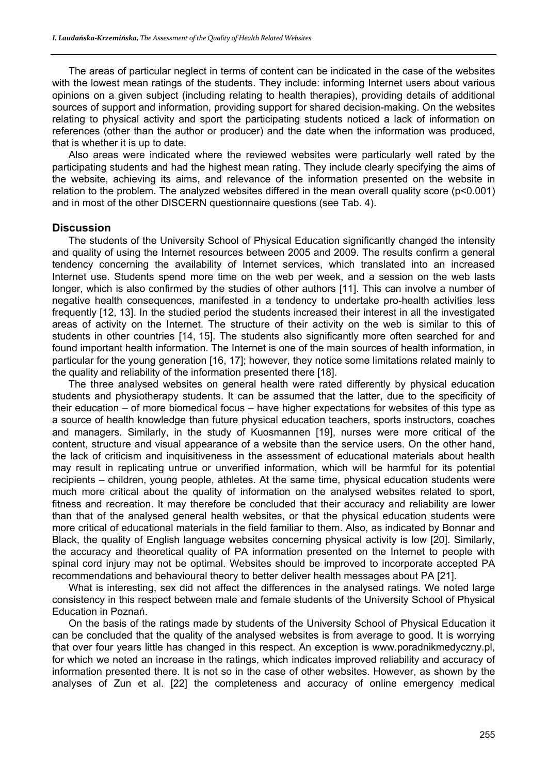The areas of particular neglect in terms of content can be indicated in the case of the websites with the lowest mean ratings of the students. They include: informing Internet users about various opinions on a given subject (including relating to health therapies), providing details of additional sources of support and information, providing support for shared decision-making. On the websites relating to physical activity and sport the participating students noticed a lack of information on references (other than the author or producer) and the date when the information was produced, that is whether it is up to date.

Also areas were indicated where the reviewed websites were particularly well rated by the participating students and had the highest mean rating. They include clearly specifying the aims of the website, achieving its aims, and relevance of the information presented on the website in relation to the problem. The analyzed websites differed in the mean overall quality score (p<0.001) and in most of the other DISCERN questionnaire questions (see Tab. 4).

## **Discussion**

The students of the University School of Physical Education significantly changed the intensity and quality of using the Internet resources between 2005 and 2009. The results confirm a general tendency concerning the availability of Internet services, which translated into an increased Internet use. Students spend more time on the web per week, and a session on the web lasts longer, which is also confirmed by the studies of other authors [11]. This can involve a number of negative health consequences, manifested in a tendency to undertake pro-health activities less frequently [12, 13]. In the studied period the students increased their interest in all the investigated areas of activity on the Internet. The structure of their activity on the web is similar to this of students in other countries [14, 15]. The students also significantly more often searched for and found important health information. The Internet is one of the main sources of health information, in particular for the young generation [16, 17]; however, they notice some limitations related mainly to the quality and reliability of the information presented there [18].

The three analysed websites on general health were rated differently by physical education students and physiotherapy students. It can be assumed that the latter, due to the specificity of their education – of more biomedical focus – have higher expectations for websites of this type as a source of health knowledge than future physical education teachers, sports instructors, coaches and managers. Similarly, in the study of Kuosmannen [19], nurses were more critical of the content, structure and visual appearance of a website than the service users. On the other hand, the lack of criticism and inquisitiveness in the assessment of educational materials about health may result in replicating untrue or unverified information, which will be harmful for its potential recipients – children, young people, athletes. At the same time, physical education students were much more critical about the quality of information on the analysed websites related to sport, fitness and recreation. It may therefore be concluded that their accuracy and reliability are lower than that of the analysed general health websites, or that the physical education students were more critical of educational materials in the field familiar to them. Also, as indicated by Bonnar and Black, the quality of English language websites concerning physical activity is low [20]. Similarly, the accuracy and theoretical quality of PA information presented on the Internet to people with spinal cord injury may not be optimal. Websites should be improved to incorporate accepted PA recommendations and behavioural theory to better deliver health messages about PA [21].

What is interesting, sex did not affect the differences in the analysed ratings. We noted large consistency in this respect between male and female students of the University School of Physical Education in Poznań.

On the basis of the ratings made by students of the University School of Physical Education it can be concluded that the quality of the analysed websites is from average to good. It is worrying that over four years little has changed in this respect. An exception is www.poradnikmedyczny.pl, for which we noted an increase in the ratings, which indicates improved reliability and accuracy of information presented there. It is not so in the case of other websites. However, as shown by the analyses of Zun et al. [22] the completeness and accuracy of online emergency medical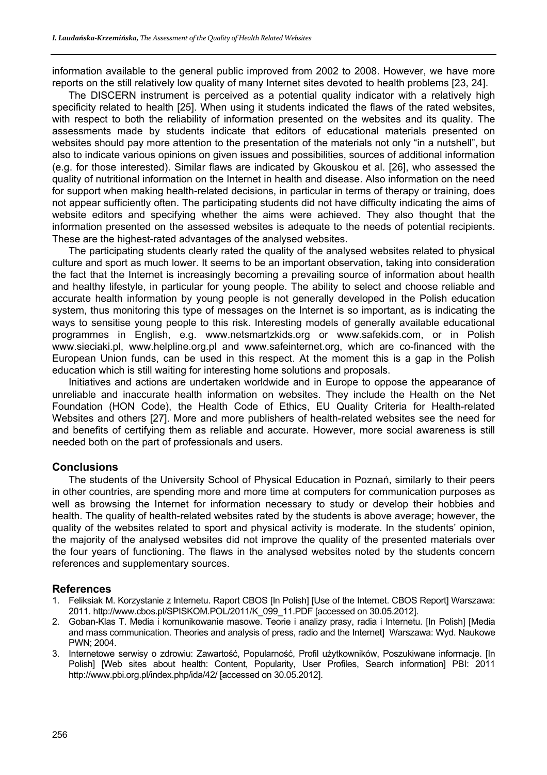information available to the general public improved from 2002 to 2008. However, we have more reports on the still relatively low quality of many Internet sites devoted to health problems [23, 24].

The DISCERN instrument is perceived as a potential quality indicator with a relatively high specificity related to health [25]. When using it students indicated the flaws of the rated websites, with respect to both the reliability of information presented on the websites and its quality. The assessments made by students indicate that editors of educational materials presented on websites should pay more attention to the presentation of the materials not only "in a nutshell", but also to indicate various opinions on given issues and possibilities, sources of additional information (e.g. for those interested). Similar flaws are indicated by Gkouskou et al. [26], who assessed the quality of nutritional information on the Internet in health and disease. Also information on the need for support when making health-related decisions, in particular in terms of therapy or training, does not appear sufficiently often. The participating students did not have difficulty indicating the aims of website editors and specifying whether the aims were achieved. They also thought that the information presented on the assessed websites is adequate to the needs of potential recipients. These are the highest-rated advantages of the analysed websites.

The participating students clearly rated the quality of the analysed websites related to physical culture and sport as much lower. It seems to be an important observation, taking into consideration the fact that the Internet is increasingly becoming a prevailing source of information about health and healthy lifestyle, in particular for young people. The ability to select and choose reliable and accurate health information by young people is not generally developed in the Polish education system, thus monitoring this type of messages on the Internet is so important, as is indicating the ways to sensitise young people to this risk. Interesting models of generally available educational programmes in English, e.g. www.netsmartzkids.org or www.safekids.com, or in Polish www.sieciaki.pl, www.helpline.org.pl and www.safeinternet.org, which are co-financed with the European Union funds, can be used in this respect. At the moment this is a gap in the Polish education which is still waiting for interesting home solutions and proposals.

Initiatives and actions are undertaken worldwide and in Europe to oppose the appearance of unreliable and inaccurate health information on websites. They include the Health on the Net Foundation (HON Code), the Health Code of Ethics, EU Quality Criteria for Health-related Websites and others [27]. More and more publishers of health-related websites see the need for and benefits of certifying them as reliable and accurate. However, more social awareness is still needed both on the part of professionals and users.

# **Conclusions**

The students of the University School of Physical Education in Poznań, similarly to their peers in other countries, are spending more and more time at computers for communication purposes as well as browsing the Internet for information necessary to study or develop their hobbies and health. The quality of health-related websites rated by the students is above average; however, the quality of the websites related to sport and physical activity is moderate. In the students' opinion, the majority of the analysed websites did not improve the quality of the presented materials over the four years of functioning. The flaws in the analysed websites noted by the students concern references and supplementary sources.

# **References**

- 1. Feliksiak M. Korzystanie z Internetu. Raport CBOS [In Polish] [Use of the Internet. CBOS Report] Warszawa: 2011. http://www.cbos.pl/SPISKOM.POL/2011/K\_099\_11.PDF [accessed on 30.05.2012].
- 2. Goban-Klas T. Media i komunikowanie masowe. Teorie i analizy prasy, radia i Internetu. [In Polish] [Media and mass communication. Theories and analysis of press, radio and the Internet] Warszawa: Wyd. Naukowe PWN; 2004.
- 3. Internetowe serwisy o zdrowiu: Zawartość, Popularność, Profil użytkowników, Poszukiwane informacje. [In Polish] [Web sites about health: Content, Popularity, User Profiles, Search information] PBI: 2011 http://www.pbi.org.pl/index.php/ida/42/ [accessed on 30.05.2012].